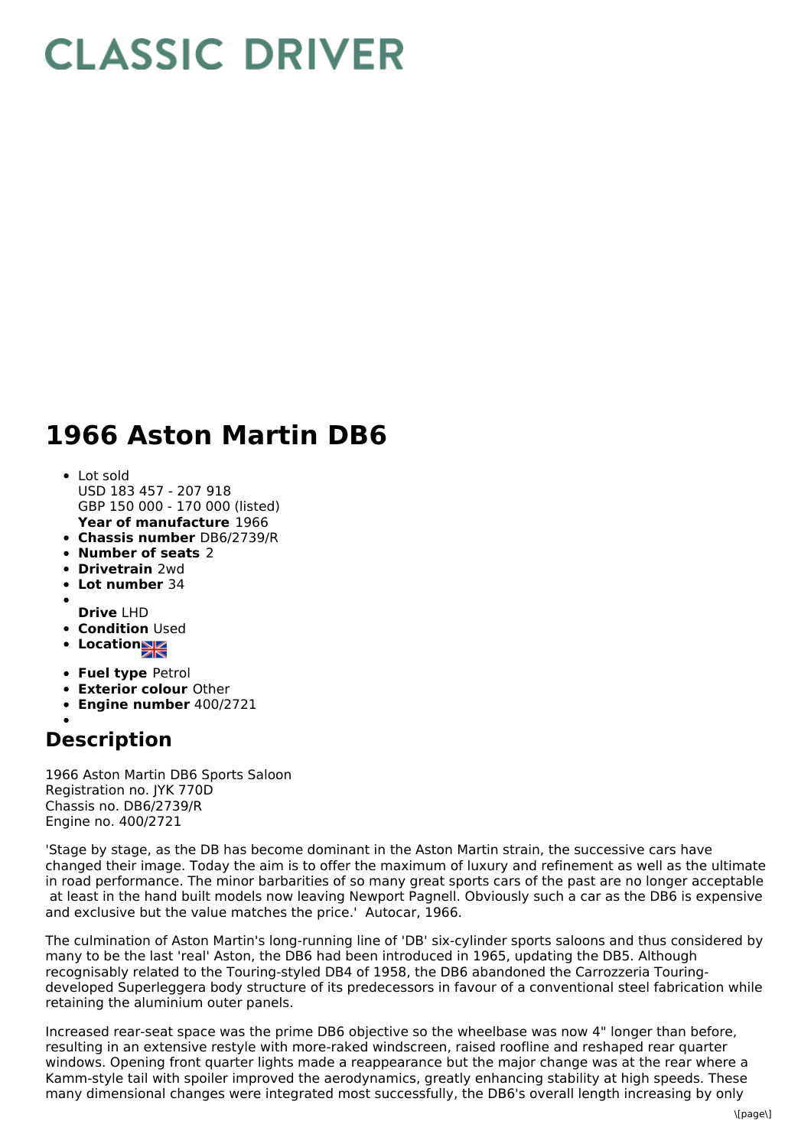## **CLASSIC DRIVER**

## **1966 Aston Martin DB6**

- **Year of manufacture** 1966 Lot sold USD 183 457 - 207 918 GBP 150 000 - 170 000 (listed)
- **Chassis number** DB6/2739/R
- **Number of seats** 2
- **Drivetrain** 2wd
- **Lot number** 34
- 
- **Drive** LHD
- **Condition Used**
- **Location**
- **Fuel type** Petrol
- **Exterior colour** Other
- **Engine number** 400/2721

## **Description**

1966 Aston Martin DB6 Sports Saloon Registration no. JYK 770D Chassis no. DB6/2739/R Engine no. 400/2721

'Stage by stage, as the DB has become dominant in the Aston Martin strain, the successive cars have changed their image. Today the aim is to offer the maximum of luxury and refinement as well as the ultimate in road performance. The minor barbarities of so many great sports cars of the past are no longer acceptable at least in the hand built models now leaving Newport Pagnell. Obviously such a car as the DB6 is expensive and exclusive but the value matches the price.' Autocar, 1966.

The culmination of Aston Martin's long-running line of 'DB' six-cylinder sports saloons and thus considered by many to be the last 'real' Aston, the DB6 had been introduced in 1965, updating the DB5. Although recognisably related to the Touring-styled DB4 of 1958, the DB6 abandoned the Carrozzeria Touringdeveloped Superleggera body structure of its predecessors in favour of a conventional steel fabrication while retaining the aluminium outer panels.

Increased rear-seat space was the prime DB6 objective so the wheelbase was now 4" longer than before, resulting in an extensive restyle with more-raked windscreen, raised roofline and reshaped rear quarter windows. Opening front quarter lights made a reappearance but the major change was at the rear where a Kamm-style tail with spoiler improved the aerodynamics, greatly enhancing stability at high speeds. These many dimensional changes were integrated most successfully, the DB6's overall length increasing by only